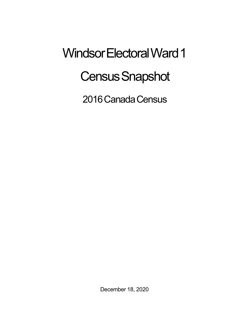## Windsor Electoral Ward 1 **Census Snapshot**

2016 Canada Census

December 18, 2020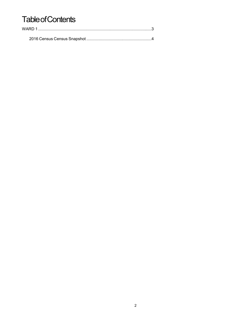## **Table of Contents**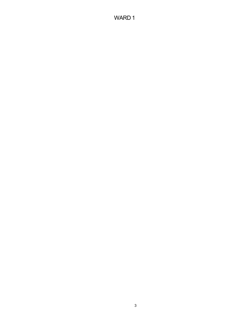## WARD 1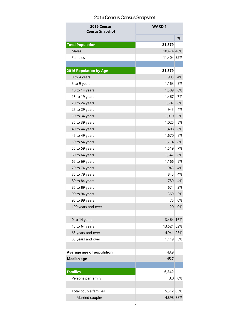## 2016 Census Census Snapshot

| 2016 Census<br><b>Census Snapshot</b> | <b>WARD1</b> |    |
|---------------------------------------|--------------|----|
|                                       |              | %  |
| <b>Total Population</b>               | 21,879       |    |
| Males                                 | 10,474 48%   |    |
| Females                               | 11,404 52%   |    |
|                                       |              |    |
| <b>2016 Population by Age</b>         | 21,879       |    |
| 0 to 4 years                          | 903          | 4% |
| 5 to 9 years                          | 1,163        | 5% |
| 10 to 14 years                        | 1,389        | 6% |
| 15 to 19 years                        | 1,467        | 7% |
| 20 to 24 years                        | 1,307        | 6% |
| 25 to 29 years                        | 945          | 4% |
| 30 to 34 years                        | 1,010        | 5% |
| 35 to 39 years                        | 1,025        | 5% |
| 40 to 44 years                        | 1,408        | 6% |
| 45 to 49 years                        | 1,670        | 8% |
| 50 to 54 years                        | 1,714        | 8% |
| 55 to 59 years                        | 1,519        | 7% |
| 60 to 64 years                        | 1,347        | 6% |
| 65 to 69 years                        | 1,166        | 5% |
| 70 to 74 years                        | 943          | 4% |
| 75 to 79 years                        | 845          | 4% |
| 80 to 84 years                        | 780          | 4% |
| 85 to 89 years                        | 674          | 3% |
| 90 to 94 years                        | 360          | 2% |
| 95 to 99 years                        | 75           | 0% |
| 100 years and over                    | 20           | 0% |
|                                       |              |    |
| 0 to 14 years                         | 3,464 16%    |    |
| 15 to 64 years                        | 13,521 62%   |    |
| 65 years and over                     | 4,941 23%    |    |
| 85 years and over                     | 1,119        | 5% |
|                                       |              |    |
| Average age of population             | 43.9         |    |
| <b>Median age</b>                     | 45.7         |    |
|                                       |              |    |
| <b>Families</b>                       | 6,242        |    |
| Persons per family                    | 3.0          | 0% |
|                                       |              |    |
| Total couple families                 | 5,312 85%    |    |
| Married couples                       | 4,898 78%    |    |